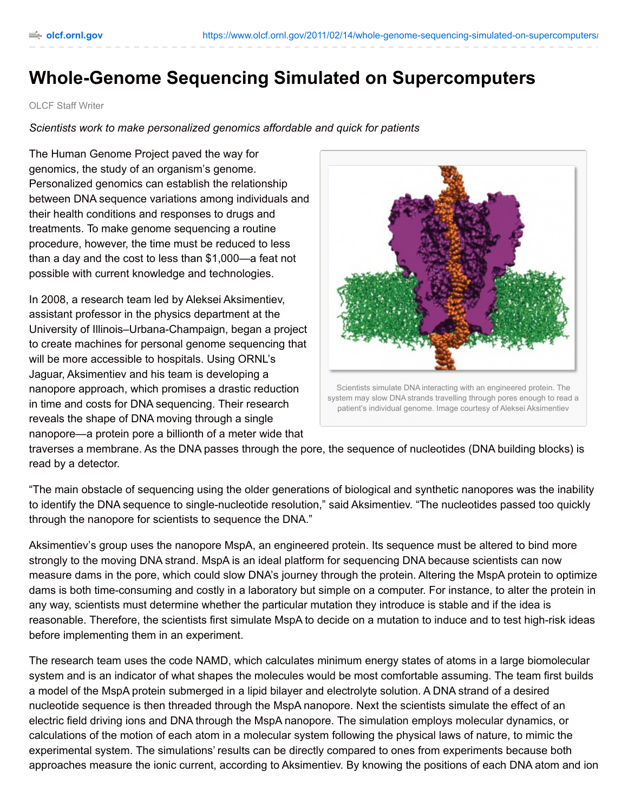## **Whole-Genome Sequencing Simulated on Supercomputers**

## OLCF Staff Writer

*Scientists work to make personalized genomics affordable and quick for patients*

The Human Genome Project paved the way for genomics, the study of an organism's genome. Personalized genomics can establish the relationship between DNA sequence variations among individuals and their health conditions and responses to drugs and treatments. To make genome sequencing a routine procedure, however, the time must be reduced to less than a day and the cost to less than \$1,000—a feat not possible with current knowledge and technologies.

In 2008, a research team led by Aleksei Aksimentiev, assistant professor in the physics department at the University of Illinois–Urbana-Champaign, began a project to create machines for personal genome sequencing that will be more accessible to hospitals. Using ORNL's Jaguar, Aksimentiev and his team is developing a nanopore approach, which promises a drastic reduction in time and costs for DNA sequencing. Their research reveals the shape of DNA moving through a single nanopore—a protein pore a billionth of a meter wide that



system may slow DNA strands travelling through pores enough to read a patient's individual genome. Image courtesy of Aleksei Aksimentiev

traverses a membrane. As the DNA passes through the pore, the sequence of nucleotides (DNA building blocks) is read by a detector.

"The main obstacle of sequencing using the older generations of biological and synthetic nanopores was the inability to identify the DNA sequence to single-nucleotide resolution," said Aksimentiev. "The nucleotides passed too quickly through the nanopore for scientists to sequence the DNA."

Aksimentiev's group uses the nanopore MspA, an engineered protein. Its sequence must be altered to bind more strongly to the moving DNA strand. MspA is an ideal platform for sequencing DNA because scientists can now measure dams in the pore, which could slow DNA's journey through the protein. Altering the MspA protein to optimize dams is both time-consuming and costly in a laboratory but simple on a computer. For instance, to alter the protein in any way, scientists must determine whether the particular mutation they introduce is stable and if the idea is reasonable. Therefore, the scientists first simulate MspA to decide on a mutation to induce and to test high-risk ideas before implementing them in an experiment.

The research team uses the code NAMD, which calculates minimum energy states of atoms in a large biomolecular system and is an indicator of what shapes the molecules would be most comfortable assuming. The team first builds a model of the MspA protein submerged in a lipid bilayer and electrolyte solution. A DNA strand of a desired nucleotide sequence is then threaded through the MspA nanopore. Next the scientists simulate the effect of an electric field driving ions and DNA through the MspA nanopore. The simulation employs molecular dynamics, or calculations of the motion of each atom in a molecular system following the physical laws of nature, to mimic the experimental system. The simulations' results can be directly compared to ones from experiments because both approaches measure the ionic current, according to Aksimentiev. By knowing the positions of each DNA atom and ion,